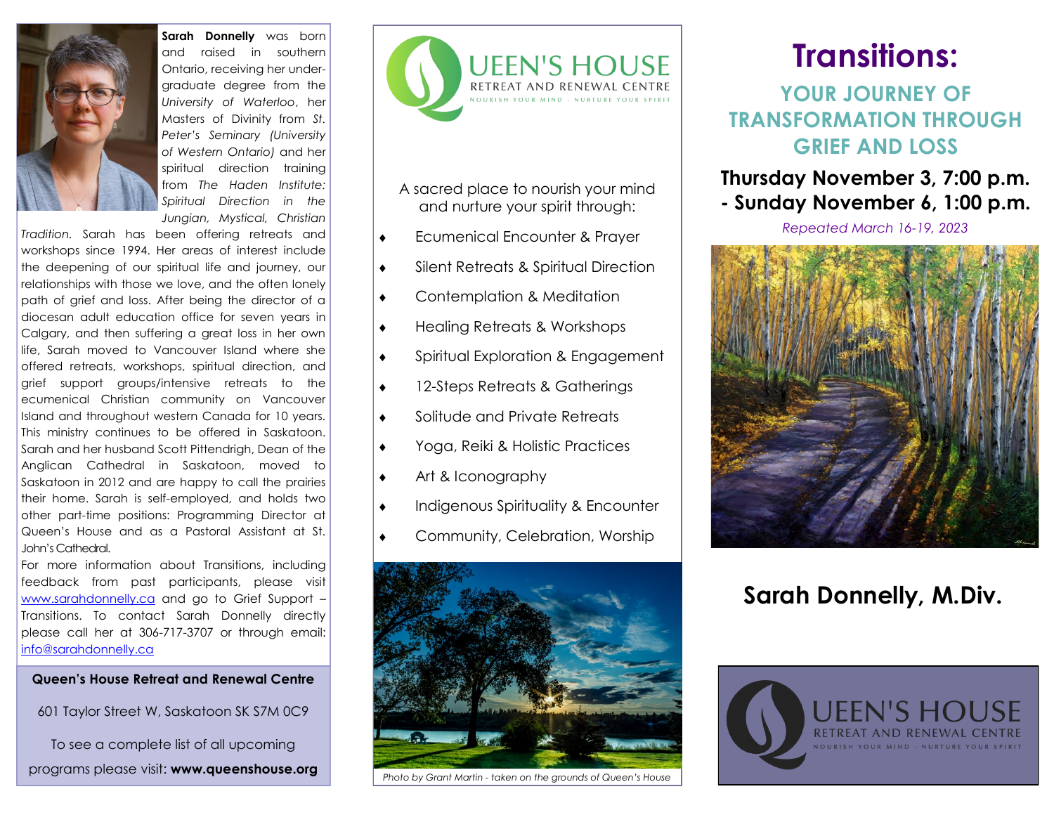

**Sarah Donnelly** was born and raised in southern Ontario, receiving her undergraduate degree from the *University of Waterloo*, her Masters of Divinity from *St. Peter's Seminary (University of Western Ontario)* and her spiritual direction training from *The Haden Institute: Spiritual Direction in the Jungian, Mystical, Christian* 

*Tradition.* Sarah has been offering retreats and workshops since 1994. Her areas of interest include the deepening of our spiritual life and journey, our relationships with those we love, and the often lonely path of grief and loss. After being the director of a diocesan adult education office for seven years in Calgary, and then suffering a great loss in her own life, Sarah moved to Vancouver Island where she offered retreats, workshops, spiritual direction, and grief support groups/intensive retreats to the ecumenical Christian community on Vancouver Island and throughout western Canada for 10 years. This ministry continues to be offered in Saskatoon. Sarah and her husband Scott Pittendrigh, Dean of the Anglican Cathedral in Saskatoon, moved to Saskatoon in 2012 and are happy to call the prairies their home. Sarah is self-employed, and holds two other part-time positions: Programming Director at Queen's House and as a Pastoral Assistant at St. John's Cathedral.

For more information about Transitions, including feedback from past participants, please visit [www.sarahdonnelly.ca](http://www.sarahdonnelly.ca) and go to Grief Support – Transitions. To contact Sarah Donnelly directly please call her at 306-717-3707 or through email: [info@sarahdonnelly.ca](mailto:info@sarahdonnelly.ca)

### **Queen's House Retreat and Renewal Centre**

601 Taylor Street W, Saskatoon SK S7M 0C9

To see a complete list of all upcoming programs please visit: **www.queenshouse.org**



- A sacred place to nourish your mind and nurture your spirit through:
- Ecumenical Encounter & Prayer
- Silent Retreats & Spiritual Direction
- Contemplation & Meditation
- Healing Retreats & Workshops
- Spiritual Exploration & Engagement
- ◆ 12-Steps Retreats & Gatherings
- ◆ Solitude and Private Retreats
- Yoga, Reiki & Holistic Practices
- **Art & Iconography**
- $\bullet$  Indigenous Spirituality & Encounter
- Community, Celebration, Worship



*Photo by Grant Martin - taken on the grounds of Queen's House*

# **Transitions:**

**YOUR JOURNEY OF TRANSFORMATION THROUGH GRIEF AND LOSS**

### **Thursday November 3, 7:00 p.m. - Sunday November 6, 1:00 p.m.**

*Repeated March 16-19, 2023*



## **Sarah Donnelly, M.Div.**